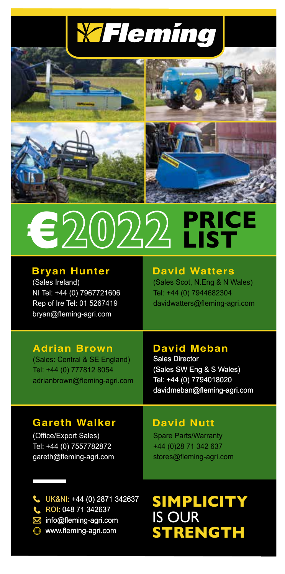





## **PRICE LIST €**

#### **Bryan Hunter David Watters**

(Sales Ireland) NI Tel: +44 (0) 7967721606 Rep of Ire Tel: 01 5267419 bryan@fleming-agri.com

(Sales Scot, N.Eng & N Wales) Tel: +44 (0) 7944682304 davidwatters@fleming-agri.com

### **Adrian Brown**

(Sales: Central & SE England) Tel: +44 (0) 777812 8054 adrianbrown@fleming-agri.com

#### **David Meban**

Sales Director (Sales SW Eng & S Wales) Tel: +44 (0) 7794018020 davidmeban@fleming-agri.com

### **Gareth Walker**

(Office/Export Sales) Tel: +44 (0) 7557782872 gareth@fleming-agri.com

#### **David Nutt**

Spare Parts/Warranty +44 (0)28 71 342 637 stores@fleming-agri.com

- UK&NI: +44 (0) 2871 342637 UK&NI: ROI: 048 71 342637
- info@fleming-agri.com
- www.fleming-agri.com

# ROI: **SIMPLICITY** IS OUR **STRENGTH**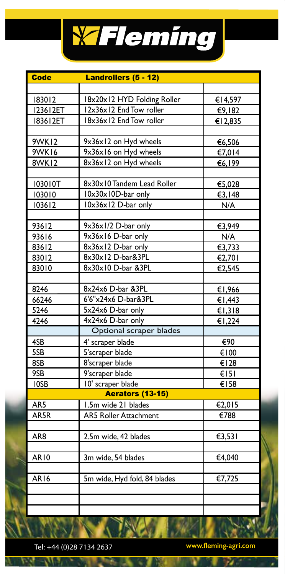

| <b>Code</b>     | Landrollers (5 - 12)         |                          |
|-----------------|------------------------------|--------------------------|
|                 |                              |                          |
| 183012          | 18x20x12 HYD Folding Roller  | €14,597                  |
| 123612ET        | 12x36x12 End Tow roller      | €9,182                   |
| 183612ET        | 18x36x12 End Tow roller      | €12,835                  |
|                 |                              |                          |
| <b>9WK12</b>    | 9x36x12 on Hyd wheels        | €6,506                   |
| <b>9WK16</b>    | 9x36x16 on Hyd wheels        | €7,014                   |
| 8WK12           | 8x36x12 on Hyd wheels        | €6,199                   |
|                 |                              |                          |
| 103010T         | 8x30x10 Tandem Lead Roller   | €5,028                   |
| 103010          | 10x30x10D-bar only           | €3,148                   |
| 103612          | 10x36x12 D-bar only          | N/A                      |
|                 |                              |                          |
| 93612           | 9x36x1/2 D-bar only          | €3,949                   |
| 93616           | 9x36x16 D-bar only           | N/A                      |
| 83612           | 8x36x12 D-bar only           | €3,733                   |
| 83012           | 8x30x12 D-bar&3PL            | €2,701                   |
| 83010           | 8x30x10 D-bar &3PL           | €2,545                   |
|                 |                              |                          |
| 8246            | 8x24x6 D-bar &3PL            | €1,966                   |
| 66246           | 6'6"x24x6 D-bar&3PL          | €1,443                   |
| 5246            | 5x24x6 D-bar only            | €1,318                   |
| 4246            | 4x24x6 D-bar only            | €1,224                   |
|                 | Optional scraper blades      |                          |
| 4SB             | 4' scraper blade             | €90                      |
| 5SB             | 5'scraper blade              | €100                     |
| 8SB             | 8'scraper blade              | €128                     |
| 9SB             | 9'scraper blade              | E151                     |
| IOSB            | 10' scraper blade            | €158                     |
|                 | <b>Aerators (13-15)</b>      |                          |
| AR <sub>5</sub> | 1.5m wide 21 blades          | €2,015                   |
| AR5R            | <b>AR5 Roller Attachment</b> | $\overline{\epsilon$ 788 |
|                 |                              |                          |
| AR8             | 2.5m wide, 42 blades         | €3,531                   |
|                 |                              |                          |
| <b>AR10</b>     | 3m wide, 54 blades           | €4,040                   |
|                 |                              |                          |
| <b>AR16</b>     | 5m wide, Hyd fold, 84 blades | €7,725                   |
|                 |                              |                          |
|                 |                              |                          |
|                 |                              |                          |

Tel: +44 (0)28 7134 2637 **www.fleming-agri.com**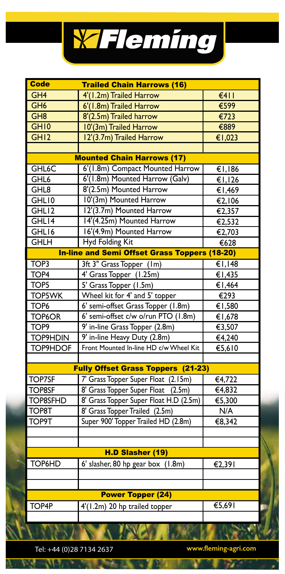

| <b>Code</b><br><b>Trailed Chain Harrows (16)</b> |                                                      |                              |  |
|--------------------------------------------------|------------------------------------------------------|------------------------------|--|
| GH <sub>4</sub>                                  | 4'(1.2m) Trailed Harrow                              | 6411                         |  |
| GH <sub>6</sub>                                  | 6'(1.8m) Trailed Harrow                              | €599                         |  |
| GH8                                              | 8'(2.5m) Trailed harrow                              | $\overline{\epsilon$ 723     |  |
| GH <sub>10</sub>                                 | 10'(3m) Trailed Harrow                               | €889                         |  |
| GH12                                             | 12'(3.7m) Trailed Harrow                             | €1,023                       |  |
|                                                  |                                                      |                              |  |
|                                                  | <b>Mounted Chain Harrows (17)</b>                    |                              |  |
| GHL <sub>6</sub> C                               | 6'(1.8m) Compact Mounted Harrow                      | €1,186                       |  |
| GHL6                                             | 6'(1.8m) Mounted Harrow (Galv)                       | $\overline{$ $\in$ I, I26    |  |
| GHL8                                             | 8'(2.5m) Mounted Harrow                              | €1,469                       |  |
| GHL10                                            | 10'(3m) Mounted Harrow                               | $\overline{\epsilon}$ 2, 106 |  |
| GHL12                                            | 12'(3.7m) Mounted Harrow                             | €2,357                       |  |
| GHL14                                            | 14'(4.25m) Mounted Harrow                            | €2,532                       |  |
| GHL16                                            | 16'(4.9m) Mounted Harrow                             | €2,703                       |  |
| <b>GHLH</b>                                      | <b>Hyd Folding Kit</b>                               | €628                         |  |
|                                                  | <b>In-line and Semi Offset Grass Toppers (18-20)</b> |                              |  |
| TOP <sub>3</sub>                                 | 3ft 3" Grass Topper (1m)                             | €1,148                       |  |
| TOP <sub>4</sub>                                 | 4' Grass Topper (1.25m)                              | €1,435                       |  |
| TOP5                                             | 5' Grass Topper (1.5m)                               | €1,464                       |  |
| <b>TOP5WK</b>                                    | Wheel kit for 4' and 5' topper                       | €293                         |  |
| TOP <sub>6</sub>                                 | 6' semi-offset Grass Topper (1.8m)                   | €1,580                       |  |
| TOP6OR                                           | 6' semi-offset c/w o/run PTO (1.8m)                  | €1,678                       |  |
| TOP <sub>9</sub>                                 | 9' in-line Grass Topper (2.8m)                       | €3,507                       |  |
| <b>TOP9HDIN</b>                                  | 9' in-line Heavy Duty (2.8m)                         | €4,240                       |  |
| TOP9HDOF                                         | Front Mounted In-line HD c/w Wheel Kit               | €5,610                       |  |
|                                                  |                                                      |                              |  |
|                                                  | <b>Fully Offset Grass Toppers (21-23)</b>            |                              |  |
| <b>TOP7SF</b>                                    | 7' Grass Topper Super Float (2.15m)                  | €4,722                       |  |
| <b>TOP8SF</b>                                    | 8' Grass Topper Super Float<br>(2.5m)                | €4,832                       |  |
| <b>TOP8SFHD</b>                                  | 8' Grass Topper Super Float H.D (2.5m)               | €5,300                       |  |
| TOP <sub>8T</sub>                                | 8' Grass Topper Trailed (2.5m)                       | N/A                          |  |
| <b>TOP9T</b>                                     | Super 900' Topper Trailed HD (2.8m)                  | €8,342                       |  |
|                                                  |                                                      |                              |  |
|                                                  |                                                      |                              |  |
| H.D Slasher (19)                                 |                                                      |                              |  |
| TOP6HD                                           | 6' slasher, 80 hp gear box (1.8m)                    | €2,391                       |  |
|                                                  |                                                      |                              |  |
|                                                  |                                                      |                              |  |
|                                                  | <b>Power Topper (24)</b>                             |                              |  |
| TOP4P                                            | 4'(1.2m) 20 hp trailed topper                        | $\overline{\epsilon}$ 5,691  |  |
|                                                  |                                                      |                              |  |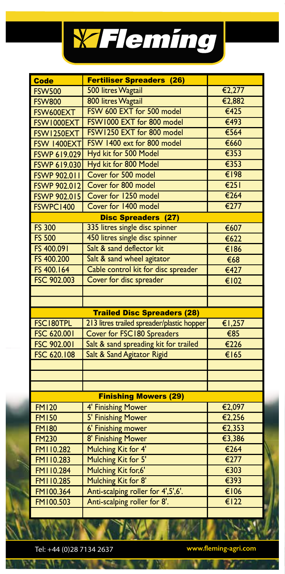

| <b>Code</b>         | Fertiliser Spreaders (26)                  |                           |
|---------------------|--------------------------------------------|---------------------------|
| <b>FSW500</b>       | 500 litres Wagtail                         | €2,277                    |
| <b>FSW800</b>       | 800 litres Wagtail                         | €2,882                    |
| FSW600EXT           | FSW 600 EXT for 500 model                  | €425                      |
| FSW1000EXT          | FSW1000 EXT for 800 model                  | $\overline{\epsilon$ 493  |
| FSW1250EXT          | FSW1250 EXT for 800 model                  | $\overline{\epsilon$ 564  |
| FSW 1400EXT         | FSW 1400 ext for 800 model                 | €660                      |
| <b>FSWP 619.029</b> | Hyd kit for 500 Model                      | $\overline{\epsilon}$ 353 |
| <b>FSWP 619.030</b> | Hyd kit for 800 Model                      | $\overline{\epsilon}$ 353 |
| <b>FSWP 902.011</b> | Cover for 500 model                        | €198                      |
| <b>FSWP 902.012</b> | Cover for 800 model                        | $\overline{\epsilon}$ 251 |
| <b>FSWP 902.015</b> | Cover for 1250 model                       | €264                      |
| FSWPC1400           | Cover for 1400 model                       | $\overline{\epsilon}$ 277 |
|                     | <b>Disc Spreaders (27)</b>                 |                           |
| <b>FS 300</b>       | 335 litres single disc spinner             | €607                      |
| <b>FS 500</b>       | 450 litres single disc spinner             | €622                      |
| FS 400.091          | Salt & sand deflector kit                  | $\overline{\epsilon}$ 186 |
| FS 400.200          | Salt & sand wheel agitator                 | €68                       |
| FS 400.164          | Cable control kit for disc spreader        | €427                      |
| FSC 902.003         | Cover for disc spreader                    | €102                      |
|                     |                                            |                           |
|                     |                                            |                           |
|                     | <b>Trailed Disc Spreaders (28)</b>         |                           |
| FSC180TPL           | 213 litres trailed spreader/plastic hopper | €1,257                    |
| FSC 620.001         | Cover for FSC180 Spreaders                 | €85                       |
| FSC 902.001         | Salt & sand spreading kit for trailed      | €226                      |
| FSC 620.108         | Salt & Sand Agitator Rigid                 | €165                      |
|                     |                                            |                           |
|                     |                                            |                           |
|                     |                                            |                           |
|                     | <b>Finishing Mowers (29)</b>               |                           |
| <b>FM120</b>        | 4' Finishing Mower                         | €2,097                    |
| <b>FM150</b>        | 5' Finishing Mower                         | €2,256                    |
| <b>FM180</b>        | <b>6' Finishing mower</b>                  | €2,353                    |
| <b>FM230</b>        | 8' Finishing Mower                         | €3,386                    |
| FMI10.282           | Mulching Kit for 4'                        | €264                      |
| FMI10.283           | Mulching Kit for 5'                        | €277                      |
| FM110.284           | Mulching Kit for, 6'                       | €303                      |
| FMI10.285           | Mulching Kit for 8'                        | €393                      |
| FM100.364           | Anti-scalping roller for 4',5',6'.         | €106                      |
| FM100.503           | Anti-scalping roller for 8'.               | E122                      |
|                     |                                            |                           |

Tel: +44 (0)28 7134 2637 **www.fleming-agri.com**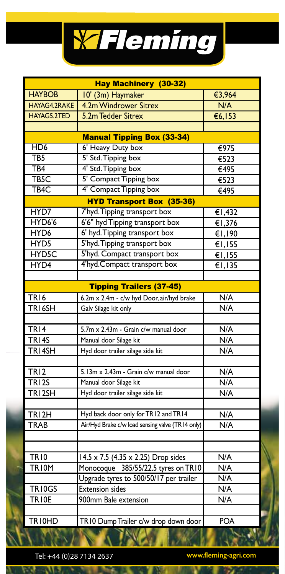

| <b>Hay Machinery (30-32)</b> |                                                  |                          |  |
|------------------------------|--------------------------------------------------|--------------------------|--|
| <b>HAYBOB</b>                | 10' (3m) Haymaker                                | €3,964                   |  |
| HAYAG4.2RAKE                 | 4.2m Windrower Sitrex                            | N/A                      |  |
| HAYAG5.2TED                  | 5.2m Tedder Sitrex                               | €6,153                   |  |
|                              |                                                  |                          |  |
|                              | <b>Manual Tipping Box (33-34)</b>                |                          |  |
| HD <sub>6</sub>              | 6' Heavy Duty box                                | $\overline{\epsilon$ 975 |  |
| TB <sub>5</sub>              | 5' Std. Tipping box                              | €523                     |  |
| $\overline{TB4}$             | 4' Std. Tipping box                              | €495                     |  |
| TB <sub>5</sub> C            | 5' Compact Tipping box                           | €523                     |  |
| TB <sub>4</sub> C            | 4' Compact Tipping box                           | €495                     |  |
|                              | <b>HYD Transport Box (35-36)</b>                 |                          |  |
| HYD7                         | 7'hyd. Tipping transport box                     | €1,432                   |  |
| HYD6'6                       | 6'6" hyd Tipping transport box                   | €1,376                   |  |
| HYD6                         | 6' hyd. Tipping transport box                    | €1,190                   |  |
| HYD5                         | 5'hyd. Tipping transport box                     | €1,155                   |  |
| HYD <sub>5</sub> C           | 5'hyd. Compact transport box                     | €I, I55                  |  |
| HYD4                         | 4'hyd.Compact transport box                      | €1,135                   |  |
|                              |                                                  |                          |  |
|                              | <b>Tipping Trailers (37-45)</b>                  |                          |  |
| TR16                         | 6.2m x 2.4m - c/w hyd Door, air/hyd brake        | N/A                      |  |
| TR <sub>16</sub> SH          | Galv Silage kit only                             | N/A                      |  |
|                              |                                                  |                          |  |
| TR <sub>14</sub>             | 5.7m x 2.43m - Grain c/w manual door             | N/A                      |  |
| <b>TR14S</b>                 | Manual door Silage kit                           | $\overline{N/A}$         |  |
| $TR$   4SH                   | Hyd door trailer silage side kit                 | N/A                      |  |
|                              |                                                  |                          |  |
| <b>TR12</b>                  | 5.13m x 2.43m - Grain c/w manual door            | N/A                      |  |
| TR <sub>12S</sub>            | Manual door Silage kit                           | N/A                      |  |
| TRI2SH                       | Hyd door trailer silage side kit                 | N/A                      |  |
|                              |                                                  |                          |  |
| TRI2H                        | Hyd back door only for TR12 and TR14             | N/A                      |  |
| <b>TRAB</b>                  | Air/Hyd Brake c/w load sensing valve (TR14 only) | N/A                      |  |
|                              |                                                  |                          |  |
|                              |                                                  |                          |  |
| <b>TR10</b>                  | 14.5 x 7.5 (4.35 x 2.25) Drop sides              | N/A                      |  |
| <b>TRIOM</b>                 | Monocoque 385/55/22.5 tyres on TR10              | N/A                      |  |
|                              | Upgrade tyres to 500/50/17 per trailer           | N/A                      |  |
| TR10GS                       | <b>Extension sides</b>                           | N/A                      |  |
| TRIOE                        | 900mm Bale extension                             | N/A                      |  |
|                              |                                                  |                          |  |
| TRI0HD                       | TR10 Dump Trailer c/w drop down door             | POA                      |  |
|                              | <b>TAWA</b>                                      |                          |  |

T N

 $\overline{\mathbf{v}}$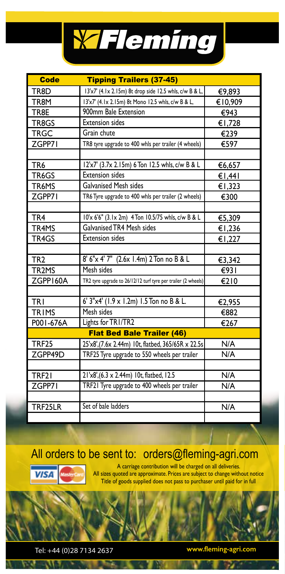

| <b>Code</b>        | <b>Tipping Trailers (37-45)</b>                               |         |
|--------------------|---------------------------------------------------------------|---------|
| TR8D               | 13'x7' (4.1x 2.15m) 8t drop side 12.5 whls, c/w B & L,        | €9,893  |
| TR8M               | 13'x7' (4.1x 2.15m) 8t Mono 12.5 whls, c/w B & L,             | €10,909 |
| TR8E               | 900mm Bale Extension                                          | €943    |
| TR8GS              | <b>Extension sides</b>                                        | €1,728  |
| <b>TRGC</b>        | Grain chute                                                   | €239    |
| ZGPP71             | TR8 tyre upgrade to 400 whls per trailer (4 wheels)           | €597    |
|                    |                                                               |         |
| TR <sub>6</sub>    | 12'x7' (3.7x 2.15m) 6 Ton 12.5 whls, c/w B & L                | €6,657  |
| TR6GS              | <b>Extension sides</b>                                        | €1,441  |
| TR6MS              | <b>Galvanised Mesh sides</b>                                  | €1,323  |
| ZGPP71             | TR6 Tyre upgrade to 400 whls per trailer (2 wheels)           | €300    |
|                    |                                                               |         |
| TR <sub>4</sub>    | 10'x 6'6" (3.1x 2m) 4 Ton 10.5/75 whls, c/w B & L             | €5,309  |
| TR4MS              | Galvanised TR4 Mesh sides                                     | €1,236  |
| TR4GS              | <b>Extension sides</b>                                        | €1,227  |
|                    |                                                               |         |
| TR <sub>2</sub>    | 8' 6"x 4' 7" (2.6x 1.4m) 2 Ton no B & L                       | €3.342  |
| TR <sub>2</sub> MS | Mesh sides                                                    | €931    |
| ZGPP160A           | TR2 tyre upgrade to 26/12/12 turf tyre per trailer (2 wheels) | €210    |
|                    |                                                               |         |
| TRI                | 6' 3"x4' (1.9 x 1.2m) 1.5 Ton no B & L.                       | €2,955  |
| TRIMS              | Mesh sides                                                    | €882    |
| P001-676A          | Lights for TRI/TR2                                            | €267    |
|                    | <b>Flat Bed Bale Trailer (46)</b>                             |         |
| <b>TRF25</b>       | 25'x8',(7.6x 2.44m) 10t, flatbed, 365/65R x 22.5s             | N/A     |
| ZGPP49D            | TRF25 Tyre upgrade to 550 wheels per trailer                  | N/A     |
|                    |                                                               |         |
| TRF21              | 21'x8', (6.3 x 2.44m) 10t, flatbed, 12.5                      | N/A     |
| ZGPP71             | TRF21 Tyre upgrade to 400 wheels per trailer                  | N/A     |
|                    |                                                               |         |
| TRF25LR            | Set of bale ladders                                           | N/A     |
|                    |                                                               |         |

## All orders to be sent to: orders@fleming-agri.com



w

A carriage contribution will be charged on all deliveries. All sizes quoted are approximate. Prices are subject to change without notice Title of goods supplied does not pass to purchaser until paid for in full

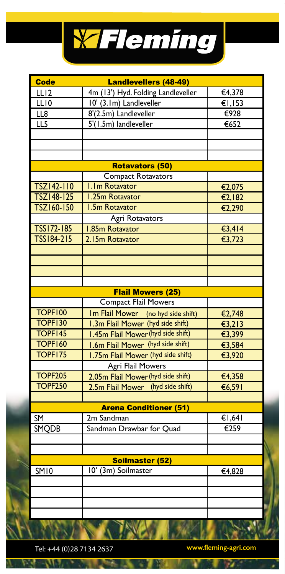

| <b>Code</b>       | <b>Landlevellers (48-49)</b>       |                           |
|-------------------|------------------------------------|---------------------------|
| LL <sub>12</sub>  | 4m (13') Hyd. Folding Landleveller | €4,378                    |
| LL10              | 10' (3.1m) Landleveller            | €1,153                    |
| LL8               | 8'(2.5m) Landleveller              | €928                      |
| LL5               | 5'(1.5m) landleveller              | €652                      |
|                   |                                    |                           |
|                   |                                    |                           |
|                   |                                    |                           |
|                   | <b>Rotavators (50)</b>             |                           |
|                   | <b>Compact Rotavators</b>          |                           |
| TSZ142-110        | I.Im Rotavator                     | €2,075                    |
| TSZ148-125        | 1.25m Rotavator                    | €2,182                    |
| TSZ160-150        | <b>I.5m Rotavator</b>              | €2,290                    |
|                   | <b>Agri Rotavators</b>             |                           |
| <b>TSS172-185</b> | <b>I.85m Rotavator</b>             | €3,414                    |
| TSS184-215        | 2.15m Rotavator                    | €3,723                    |
|                   |                                    |                           |
|                   |                                    |                           |
|                   |                                    |                           |
|                   |                                    |                           |
|                   | <b>Flail Mowers (25)</b>           |                           |
|                   | <b>Compact Flail Mowers</b>        |                           |
| <b>TOPF100</b>    | Im Flail Mower (no hyd side shift) | €2,748                    |
| <b>TOPF130</b>    | 1.3m Flail Mower (hyd side shift)  | €3,213                    |
| TOPF145           | 1.45m Flail Mower (hyd side shift) | €3,399                    |
| <b>TOPF160</b>    | 1.6m Flail Mower (hyd side shift)  | €3,584                    |
| TOPF175           | 1.75m Flail Mower (hyd side shift) | €3,920                    |
|                   | Agri Flail Mowers                  |                           |
| <b>TOPF205</b>    | 2.05m Flail Mower (hyd side shift) | €4,358                    |
| <b>TOPF250</b>    | 2.5m Flail Mower (hyd side shift)  | €6,591                    |
|                   |                                    |                           |
|                   | <b>Arena Conditioner (51)</b>      |                           |
| SM                | 2m Sandman                         | $\overline{61,641}$       |
| SMQDB             | Sandman Drawbar for Quad           | $\overline{\epsilon}$ 259 |
|                   |                                    |                           |
|                   |                                    |                           |
| Soilmaster (52)   |                                    |                           |
| <b>SM10</b>       | 10' (3m) Soilmaster                | €4,828                    |
|                   |                                    |                           |
|                   |                                    |                           |
|                   |                                    |                           |
|                   |                                    |                           |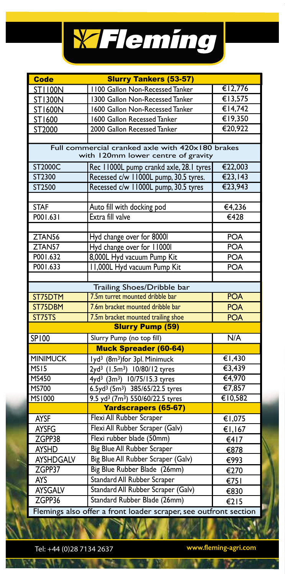

| <b>Code</b>        | <b>Slurry Tankers (53-57)</b>                                                          |                          |  |
|--------------------|----------------------------------------------------------------------------------------|--------------------------|--|
| <b>ST1100N</b>     | 1100 Gallon Non-Recessed Tanker                                                        | €12,776                  |  |
| <b>ST1300N</b>     | 1300 Gallon Non-Recessed Tanker                                                        | €13,575                  |  |
| ST1600N            | 1600 Gallon Non-Recessed Tanker                                                        | €14,742                  |  |
| ST1600             | 1600 Gallon Recessed Tanker                                                            | €19,350                  |  |
| ST2000             | 2000 Gallon Recessed Tanker                                                            | €20,922                  |  |
|                    |                                                                                        |                          |  |
|                    | Full commercial cranked axle with 420x180 brakes<br>with 120mm lower centre of gravity |                          |  |
| ST2000C            | Rec 11000L pump crankd axle, 28.1 tyres                                                | €22,003                  |  |
| ST2300             | Recessed c/w 11000L pump, 30.5 tyres.                                                  | €23,143                  |  |
| ST2500             | Recessed c/w 11000L pump, 30.5 tyres                                                   | €23,943                  |  |
|                    |                                                                                        |                          |  |
| <b>STAF</b>        | Auto fill with docking pod                                                             | €4,236                   |  |
| P001.631           | Extra fill valve                                                                       | $\overline{\epsilon$ 428 |  |
|                    |                                                                                        |                          |  |
| ZTAN56             | Hyd change over for 80001                                                              | <b>POA</b>               |  |
| ZTAN <sub>57</sub> | Hyd change over for 110001                                                             | <b>POA</b>               |  |
| P001.632           | 8,000L Hyd vacuum Pump Kit                                                             | <b>POA</b>               |  |
| P001.633           | 11,000L Hyd vacuum Pump Kit                                                            | <b>POA</b>               |  |
|                    |                                                                                        |                          |  |
|                    | Trailing Shoes/Dribble bar                                                             |                          |  |
| ST75DTM            | 7.5m turret mounted dribble bar                                                        | <b>POA</b>               |  |
| ST75DBM            | 7.6m bracket mounted dribble bar                                                       | <b>POA</b>               |  |
| ST75TS             | 7.5m bracket mounted trailing shoe                                                     | <b>POA</b>               |  |
|                    | <b>Slurry Pump (59)</b>                                                                |                          |  |
| <b>SP100</b>       | Slurry Pump (no top fill)                                                              | N/A                      |  |
|                    | <b>Muck Spreader (60-64)</b>                                                           |                          |  |
| <b>MINIMUCK</b>    | lyd <sup>3</sup> (8m <sup>3</sup> )for 3pl. Minimuck                                   | €1,430                   |  |
| MS <sub>15</sub>   | 2yd <sup>3</sup> (1.5m <sup>3</sup> ) 10/80/12 tyres                                   | €3,439                   |  |
| <b>MS450</b>       | 4yd <sup>3</sup> (3m <sup>3</sup> ) 10/75/15.3 tyres                                   | €4,970                   |  |
| MS700              | 6.5yd <sup>3</sup> (5m <sup>3</sup> ) 385/65/22.5 tyres                                | €7,857                   |  |
| <b>MS1000</b>      | 9.5 yd <sup>3</sup> (7m <sup>3</sup> ) 550/60/22.5 tyres                               | €10,582                  |  |
|                    | <b>Yardscrapers (65-67)</b>                                                            |                          |  |
| <b>AYSF</b>        | Flexi All Rubber Scraper                                                               | €1,075                   |  |
| <b>AYSFG</b>       | Flexi All Rubber Scraper (Galv)                                                        | $\overline{1,167}$       |  |
| ZGPP38             | Flexi rubber blade (50mm)                                                              | €417                     |  |
| <b>AYSHD</b>       | Big Blue All Rubber Scraper                                                            | €878                     |  |
| <b>AYSHDGALV</b>   | Big Blue All Rubber Scraper (Galv)                                                     | €993                     |  |
| ZGPP37             | Big Blue Rubber Blade (26mm)                                                           | €270                     |  |
| <b>AYS</b>         | Standard All Rubber Scraper                                                            | E751                     |  |
| <b>AYSGALV</b>     | Standard All Rubber Scraper (Galv)                                                     | €830                     |  |
| ZGPP36             | Standard Rubber Blade (26mm)                                                           | €215                     |  |
|                    | Flemings also offer a front loader scraper, see outfront section                       |                          |  |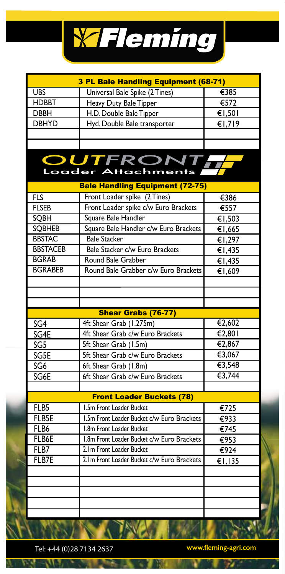

| 3 PL Bale Handling Equipment (68-71) |                                                                                    |                             |  |
|--------------------------------------|------------------------------------------------------------------------------------|-----------------------------|--|
| <b>UBS</b>                           | Universal Bale Spike (2 Tines)                                                     | €385                        |  |
| <b>HDBBT</b>                         | Heavy Duty Bale Tipper                                                             | €572                        |  |
| <b>DBBH</b>                          | H.D. Double Bale Tipper                                                            | €1,501                      |  |
| <b>DBHYD</b>                         | Hyd. Double Bale transporter                                                       | €1,719                      |  |
|                                      |                                                                                    |                             |  |
|                                      |                                                                                    |                             |  |
|                                      | <b>OUTFRONT,</b><br>Loader Attachments A<br><b>Bale Handling Equipment (72-75)</b> |                             |  |
| <b>FLS</b>                           | Front Loader spike (2 Tines)                                                       | €386                        |  |
| <b>FLSEB</b>                         | Front Loader spike c/w Euro Brackets                                               | €557                        |  |
| SQBH                                 | Square Bale Handler                                                                |                             |  |
| <b>SQBHEB</b>                        | Square Bale Handler c/w Euro Brackets                                              | €1,503                      |  |
| <b>BBSTAC</b>                        | <b>Bale Stacker</b>                                                                | €1,665                      |  |
| <b>BBSTACEB</b>                      | Bale Stacker c/w Euro Brackets                                                     | €1,297                      |  |
| <b>BGRAB</b>                         | Round Bale Grabber                                                                 | €1,435                      |  |
|                                      |                                                                                    | €1,435                      |  |
| <b>BGRABEB</b>                       | Round Bale Grabber c/w Euro Brackets                                               | €1,609                      |  |
|                                      |                                                                                    |                             |  |
|                                      |                                                                                    |                             |  |
|                                      |                                                                                    |                             |  |
|                                      | <b>Shear Grabs (76-77)</b>                                                         |                             |  |
| SG <sub>4</sub>                      | 4ft Shear Grab (1.275m)                                                            | €2,602                      |  |
| SG4E                                 | 4ft Shear Grab c/w Euro Brackets                                                   | €2,801                      |  |
| SG5                                  | 5ft Shear Grab (1.5m)                                                              | €2,867                      |  |
| SG5E                                 | 5ft Shear Grab c/w Euro Brackets                                                   | €3,067                      |  |
| SG6                                  | 6ft Shear Grab (1.8m)                                                              | $\overline{\epsilon}$ 3,548 |  |
| SG6E                                 | 6ft Shear Grab c/w Euro Brackets                                                   | €3,744                      |  |
|                                      |                                                                                    |                             |  |
|                                      | <b>Front Loader Buckets (78)</b>                                                   |                             |  |
| FLB5                                 | 1.5m Front Loader Bucket                                                           | €725                        |  |
| FLB5E                                | 1.5m Front Loader Bucket c/w Euro Brackets                                         | €933                        |  |
| FLB6                                 | 1.8m Front Loader Bucket                                                           | €745                        |  |
| FLB6E                                | I.8m Front Loader Bucket c/w Euro Brackets                                         | €953                        |  |
| FLB7                                 | 2. Im Front Loader Bucket                                                          | €924                        |  |
| FLB7E                                | 2.1m Front Loader Bucket c/w Euro Brackets                                         | €1,135                      |  |
|                                      |                                                                                    |                             |  |
|                                      |                                                                                    |                             |  |
|                                      |                                                                                    |                             |  |
|                                      |                                                                                    |                             |  |
|                                      |                                                                                    |                             |  |